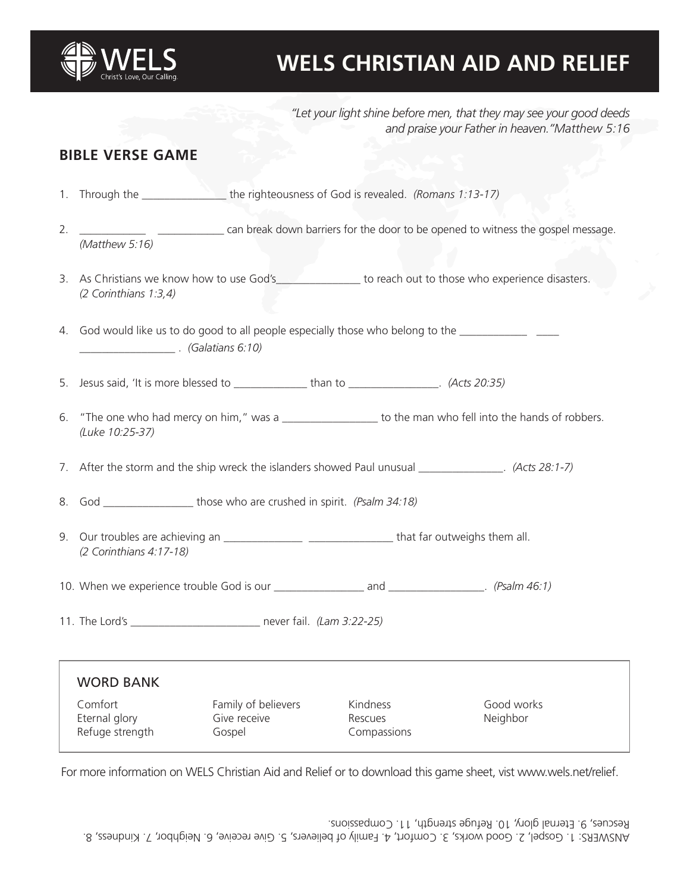

# **WELS CHRISTIAN AID AND RELIEF**

*"Let your light shine before men, that they may see your good deeds and praise your Father in heaven."Matthew 5:16*

### **BIBLE VERSE GAME**

- 1. Through the \_\_\_\_\_\_\_\_\_\_\_\_\_\_\_ the righteousness of God is revealed. *(Romans 1:13-17)*
- 2. \_\_\_\_\_\_\_\_\_\_\_\_\_\_ \_\_\_\_\_\_\_\_\_\_\_\_\_ can break down barriers for the door to be opened to witness the gospel message. *(Matthew 5:16)*
- 3. As Christians we know how to use God's\_\_\_\_\_\_\_\_\_\_\_\_\_\_\_\_ to reach out to those who experience disasters. *(2 Corinthians 1:3,4)*
- 4. God would like us to do good to all people especially those who belong to the \_\_\_\_\_\_\_\_\_\_\_\_\_\_ \_\_\_\_\_\_\_\_\_\_\_\_\_\_\_\_\_ . *(Galatians 6:10)*
- 5. Jesus said, 'It is more blessed to \_\_\_\_\_\_\_\_\_\_\_\_\_ than to \_\_\_\_\_\_\_\_\_\_\_\_\_\_\_\_. *(Acts 20:35)*
- 6. "The one who had mercy on him," was a was to the man who fell into the hands of robbers. *(Luke 10:25-37)*
- 7. After the storm and the ship wreck the islanders showed Paul unusual \_\_\_\_\_\_\_\_\_\_\_\_\_\_\_. *(Acts 28:1-7)*
- 8. God those who are crushed in spirit. *(Psalm 34:18)*
- 9. Our troubles are achieving an \_\_\_\_\_\_\_\_\_\_\_\_\_\_ \_\_\_\_\_\_\_\_\_\_\_\_\_\_\_ that far outweighs them all. *(2 Corinthians 4:17-18)*
- 10. When we experience trouble God is our \_\_\_\_\_\_\_\_\_\_\_\_\_\_\_\_ and \_\_\_\_\_\_\_\_\_\_\_\_\_\_\_\_\_. *(Psalm 46:1)*
- 11. The Lord's \_\_\_\_\_\_\_\_\_\_\_\_\_\_\_\_\_\_\_\_\_\_\_ never fail. *(Lam 3:22-25)*

| <b>WORD BANK</b>         |                                     |                     |                        |
|--------------------------|-------------------------------------|---------------------|------------------------|
| Comfort<br>Eternal glory | Family of believers<br>Give receive | Kindness<br>Rescues | Good works<br>Neighbor |
| Refuge strength          | Gospel                              | Compassions         |                        |

For more information on WELS Christian Aid and Relief or to download this game sheet, vist www.wels.net/relief.